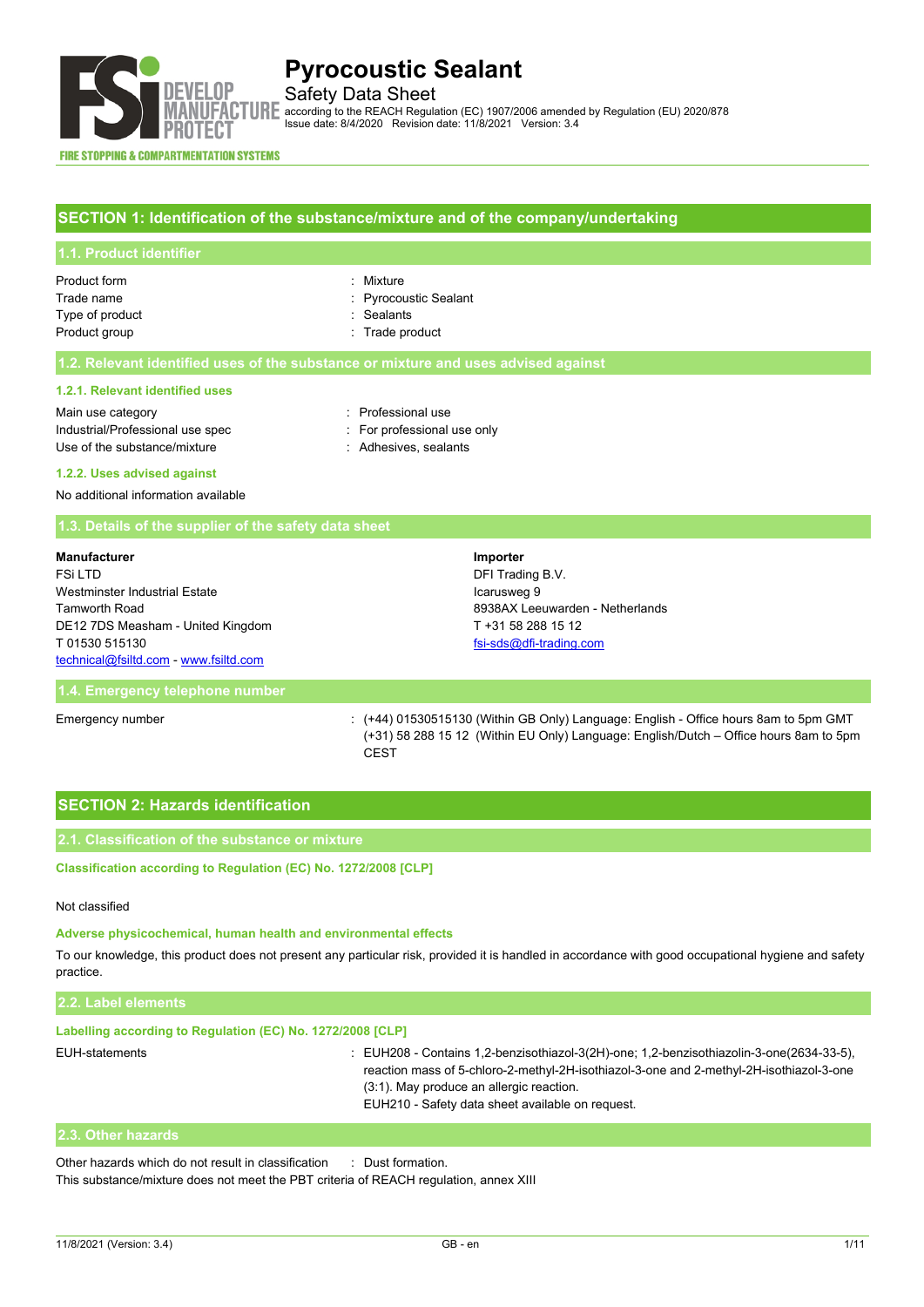

# Safety Data Sheet

**ACCORDING ACCORDING TO THE REACH Regulation (EC) 1907/2006 amended by Regulation (EU) 2020/878**<br>**ACCORDING TO THE REACH Regulation (EC)** 190014 Mexican 2.4 Issue date: 8/4/2020 Revision date: 11/8/2021 Version: 3.4

#### **FIRE STOPPING & COMPARTMENTATION SYSTEMS**

### **SECTION 1: Identification of the substance/mixture and of the company/undertaking**

| 1.1. Product identifier    |                                    |
|----------------------------|------------------------------------|
| Product form<br>Trade name | : Mixture<br>: Pyrocoustic Sealant |
| Type of product            | : Sealants                         |
| Product group              | : Trade product                    |

#### **1.2. Relevant identified uses of the substance or mixture and uses advised against**

#### **1.2.1. Relevant identified uses**

| Main use category                |
|----------------------------------|
| Industrial/Professional use spec |
| Use of the substance/mixture     |

: Professional use

### : For professional use only

: Adhesives, sealants

#### **1.2.2. Uses advised against**

No additional information available

#### **1.3. Details of the supplier of the safety data sheet**

| <b>Manufacturer</b>                   | Importer                        |
|---------------------------------------|---------------------------------|
| FSi LTD                               | DFI Trading B.V.                |
| Westminster Industrial Estate         | Icarusweg 9                     |
| <b>Tamworth Road</b>                  | 8938AX Leeuwarden - Netherlands |
| DE12 7DS Measham - United Kingdom     | T +31 58 288 15 12              |
| T 01530 515130                        | fsi-sds@dfi-trading.com         |
| technical@fsiltd.com - www.fsiltd.com |                                 |

#### **1.4. Emergency telephone number**

Emergency number : (+44) 01530515130 (Within GB Only) Language: English - Office hours 8am to 5pm GMT (+31) 58 288 15 12 (Within EU Only) Language: English/Dutch – Office hours 8am to 5pm **CEST** 

# **SECTION 2: Hazards identification**

### **2.1. Classification of the substance or mixture**

Classification according to Regulation (EC) No. 1272/2008 [CLP]

#### Not classified

#### **Adverse physicochemical, human health and environmental effects**

To our knowledge, this product does not present any particular risk, provided it is handled in accordance with good occupational hygiene and safety practice.

| Labelling according to Regulation (EC) No. 1272/2008 [CLP] |                                                                                                                                                                                                                                                                                            |
|------------------------------------------------------------|--------------------------------------------------------------------------------------------------------------------------------------------------------------------------------------------------------------------------------------------------------------------------------------------|
| EUH-statements                                             | $\pm$ EUH208 - Contains 1.2-benzisothiazol-3(2H)-one; 1.2-benzisothiazolin-3-one(2634-33-5),<br>reaction mass of 5-chloro-2-methyl-2H-isothiazol-3-one and 2-methyl-2H-isothiazol-3-one<br>$(3:1)$ . May produce an allergic reaction.<br>EUH210 - Safety data sheet available on request. |

### **2.3. Other hazards**

Other hazards which do not result in classification : Dust formation.

This substance/mixture does not meet the PBT criteria of REACH regulation, annex XIII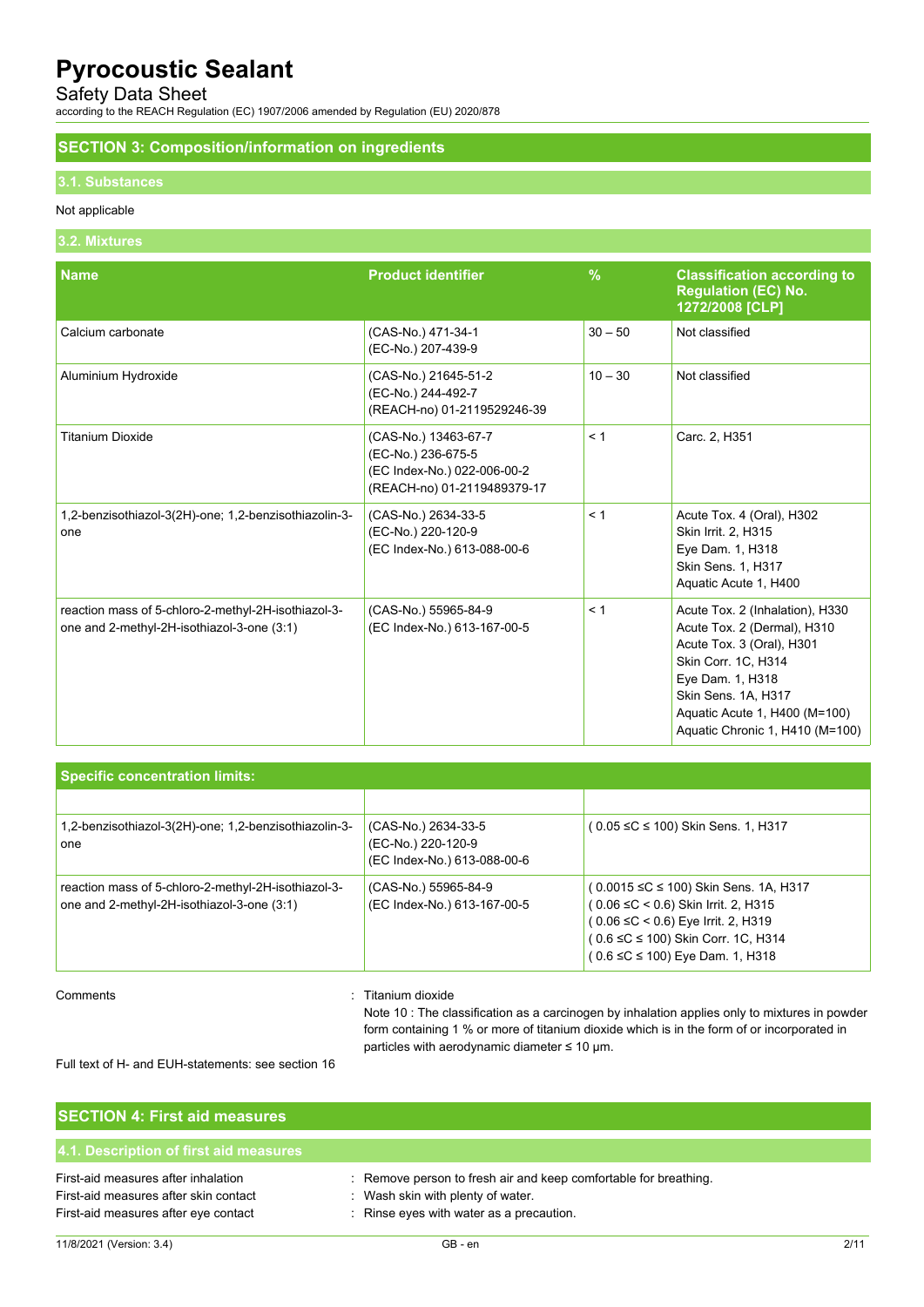# Safety Data Sheet

according to the REACH Regulation (EC) 1907/2006 amended by Regulation (EU) 2020/878

### **SECTION 3: Composition/information on ingredients**

### **3.1. Substances**

#### Not applicable

#### **3.2. Mixtures**

| <b>Name</b>                                                                                       | <b>Product identifier</b>                                                                                | $\frac{9}{6}$ | <b>Classification according to</b><br><b>Regulation (EC) No.</b><br>1272/2008 [CLP]                                                                                                                                               |
|---------------------------------------------------------------------------------------------------|----------------------------------------------------------------------------------------------------------|---------------|-----------------------------------------------------------------------------------------------------------------------------------------------------------------------------------------------------------------------------------|
| Calcium carbonate                                                                                 | (CAS-No.) 471-34-1<br>(EC-No.) 207-439-9                                                                 | $30 - 50$     | Not classified                                                                                                                                                                                                                    |
| Aluminium Hydroxide                                                                               | (CAS-No.) 21645-51-2<br>(EC-No.) 244-492-7<br>(REACH-no) 01-2119529246-39                                | $10 - 30$     | Not classified                                                                                                                                                                                                                    |
| <b>Titanium Dioxide</b>                                                                           | (CAS-No.) 13463-67-7<br>(EC-No.) 236-675-5<br>(EC Index-No.) 022-006-00-2<br>(REACH-no) 01-2119489379-17 | < 1           | Carc. 2, H351                                                                                                                                                                                                                     |
| 1,2-benzisothiazol-3(2H)-one; 1,2-benzisothiazolin-3-<br>one                                      | (CAS-No.) 2634-33-5<br>(EC-No.) 220-120-9<br>(EC Index-No.) 613-088-00-6                                 | < 1           | Acute Tox. 4 (Oral), H302<br>Skin Irrit. 2, H315<br>Eye Dam. 1, H318<br>Skin Sens. 1, H317<br>Aquatic Acute 1, H400                                                                                                               |
| reaction mass of 5-chloro-2-methyl-2H-isothiazol-3-<br>one and 2-methyl-2H-isothiazol-3-one (3:1) | (CAS-No.) 55965-84-9<br>(EC Index-No.) 613-167-00-5                                                      | < 1           | Acute Tox. 2 (Inhalation), H330<br>Acute Tox. 2 (Dermal), H310<br>Acute Tox. 3 (Oral), H301<br>Skin Corr. 1C, H314<br>Eye Dam. 1, H318<br>Skin Sens. 1A, H317<br>Aquatic Acute 1, H400 (M=100)<br>Aquatic Chronic 1, H410 (M=100) |

| <b>Specific concentration limits:</b>                                                             |                                                                          |                                                                                                                                                                                                                  |  |
|---------------------------------------------------------------------------------------------------|--------------------------------------------------------------------------|------------------------------------------------------------------------------------------------------------------------------------------------------------------------------------------------------------------|--|
|                                                                                                   |                                                                          |                                                                                                                                                                                                                  |  |
| 1,2-benzisothiazol-3(2H)-one; 1,2-benzisothiazolin-3-<br>one                                      | (CAS-No.) 2634-33-5<br>(EC-No.) 220-120-9<br>(EC Index-No.) 613-088-00-6 | (0.05 ≤C ≤ 100) Skin Sens. 1, H317                                                                                                                                                                               |  |
| reaction mass of 5-chloro-2-methyl-2H-isothiazol-3-<br>one and 2-methyl-2H-isothiazol-3-one (3:1) | (CAS-No.) 55965-84-9<br>(EC Index-No.) 613-167-00-5                      | (0.0015 ≤C ≤ 100) Skin Sens. 1A, H317<br>$(0.06 \leq C < 0.6)$ Skin Irrit. 2, H315<br>$(0.06 \leq C < 0.6)$ Eye Irrit. 2, H319<br>(0.6 ≤C ≤ 100) Skin Corr. 1C, H314<br>$(0.6 \leq C \leq 100)$ Eye Dam. 1, H318 |  |

### Comments : Titanium dioxide

Note 10 : The classification as a carcinogen by inhalation applies only to mixtures in powder form containing 1 % or more of titanium dioxide which is in the form of or incorporated in particles with aerodynamic diameter ≤ 10 μm.

Full text of H- and EUH-statements: see section 16

| <b>SECTION 4: First aid measures</b>                                                                                 |                                                                                                                                                   |
|----------------------------------------------------------------------------------------------------------------------|---------------------------------------------------------------------------------------------------------------------------------------------------|
| 4.1. Description of first aid measures                                                                               |                                                                                                                                                   |
| First-aid measures after inhalation<br>First-aid measures after skin contact<br>First-aid measures after eye contact | : Remove person to fresh air and keep comfortable for breathing.<br>: Wash skin with plenty of water.<br>: Rinse eyes with water as a precaution. |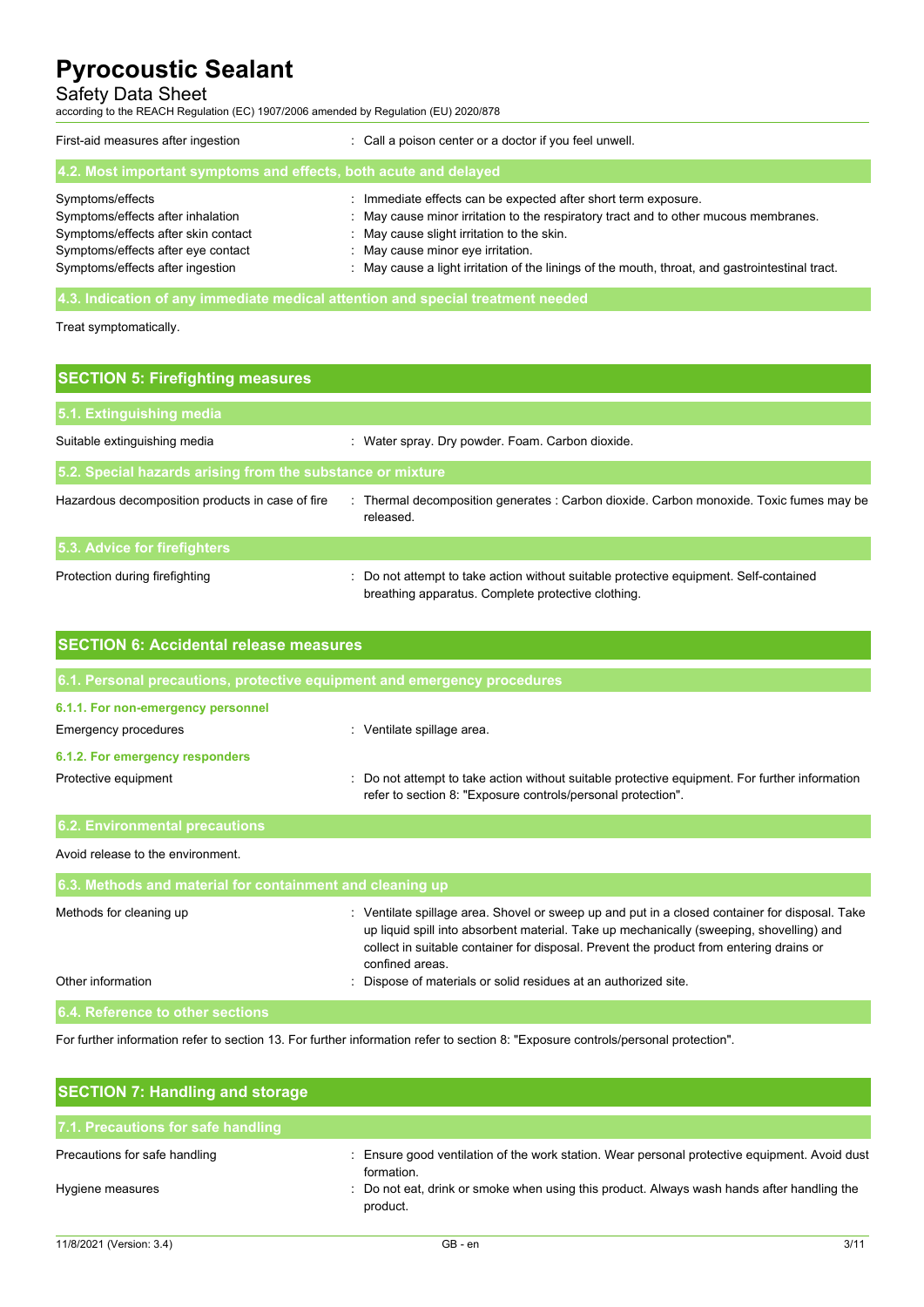# Safety Data Sheet

according to the REACH Regulation (EC) 1907/2006 amended by Regulation (EU) 2020/878

| First-aid measures after ingestion                                              | : Call a poison center or a doctor if you feel unwell.                                          |  |  |
|---------------------------------------------------------------------------------|-------------------------------------------------------------------------------------------------|--|--|
| 4.2. Most important symptoms and effects, both acute and delayed                |                                                                                                 |  |  |
| Symptoms/effects                                                                | : Immediate effects can be expected after short term exposure.                                  |  |  |
| Symptoms/effects after inhalation                                               | : May cause minor irritation to the respiratory tract and to other mucous membranes.            |  |  |
| Symptoms/effects after skin contact                                             | : May cause slight irritation to the skin.                                                      |  |  |
| Symptoms/effects after eye contact                                              | : May cause minor eye irritation.                                                               |  |  |
| Symptoms/effects after ingestion                                                | : May cause a light irritation of the linings of the mouth, throat, and gastrointestinal tract. |  |  |
| 4.3. Indication of any immediate medical attention and special treatment needed |                                                                                                 |  |  |

Treat symptomatically.

| <b>SECTION 5: Firefighting measures</b>                    |                                                                                                                                             |  |  |
|------------------------------------------------------------|---------------------------------------------------------------------------------------------------------------------------------------------|--|--|
| 5.1. Extinguishing media                                   |                                                                                                                                             |  |  |
| Suitable extinguishing media                               | : Water spray. Dry powder. Foam. Carbon dioxide.                                                                                            |  |  |
| 5.2. Special hazards arising from the substance or mixture |                                                                                                                                             |  |  |
| Hazardous decomposition products in case of fire           | Thermal decomposition generates : Carbon dioxide. Carbon monoxide. Toxic fumes may be<br>released.                                          |  |  |
| 5.3. Advice for firefighters                               |                                                                                                                                             |  |  |
| Protection during firefighting                             | : Do not attempt to take action without suitable protective equipment. Self-contained<br>breathing apparatus. Complete protective clothing. |  |  |

| <b>SECTION 6: Accidental release measures</b>                            |                                                                                                                                                                                                                                                                                                         |  |  |
|--------------------------------------------------------------------------|---------------------------------------------------------------------------------------------------------------------------------------------------------------------------------------------------------------------------------------------------------------------------------------------------------|--|--|
| 6.1. Personal precautions, protective equipment and emergency procedures |                                                                                                                                                                                                                                                                                                         |  |  |
| 6.1.1. For non-emergency personnel                                       |                                                                                                                                                                                                                                                                                                         |  |  |
| Emergency procedures                                                     | : Ventilate spillage area.                                                                                                                                                                                                                                                                              |  |  |
| 6.1.2. For emergency responders                                          |                                                                                                                                                                                                                                                                                                         |  |  |
| Protective equipment                                                     | Do not attempt to take action without suitable protective equipment. For further information<br>refer to section 8: "Exposure controls/personal protection".                                                                                                                                            |  |  |
| <b>6.2. Environmental precautions</b>                                    |                                                                                                                                                                                                                                                                                                         |  |  |
| Avoid release to the environment.                                        |                                                                                                                                                                                                                                                                                                         |  |  |
| 6.3. Methods and material for containment and cleaning up                |                                                                                                                                                                                                                                                                                                         |  |  |
| Methods for cleaning up                                                  | : Ventilate spillage area. Shovel or sweep up and put in a closed container for disposal. Take<br>up liquid spill into absorbent material. Take up mechanically (sweeping, shovelling) and<br>collect in suitable container for disposal. Prevent the product from entering drains or<br>confined areas |  |  |
| Other information                                                        | Dispose of materials or solid residues at an authorized site.                                                                                                                                                                                                                                           |  |  |
| 6.4. Reference to other sections                                         |                                                                                                                                                                                                                                                                                                         |  |  |

For further information refer to section 13. For further information refer to section 8: "Exposure controls/personal protection".

| <b>SECTION 7: Handling and storage</b> |                                                                                                             |
|----------------------------------------|-------------------------------------------------------------------------------------------------------------|
| 7.1. Precautions for safe handling     |                                                                                                             |
| Precautions for safe handling          | : Ensure good ventilation of the work station. Wear personal protective equipment. Avoid dust<br>formation. |
| Hygiene measures                       | : Do not eat, drink or smoke when using this product. Always wash hands after handling the<br>product.      |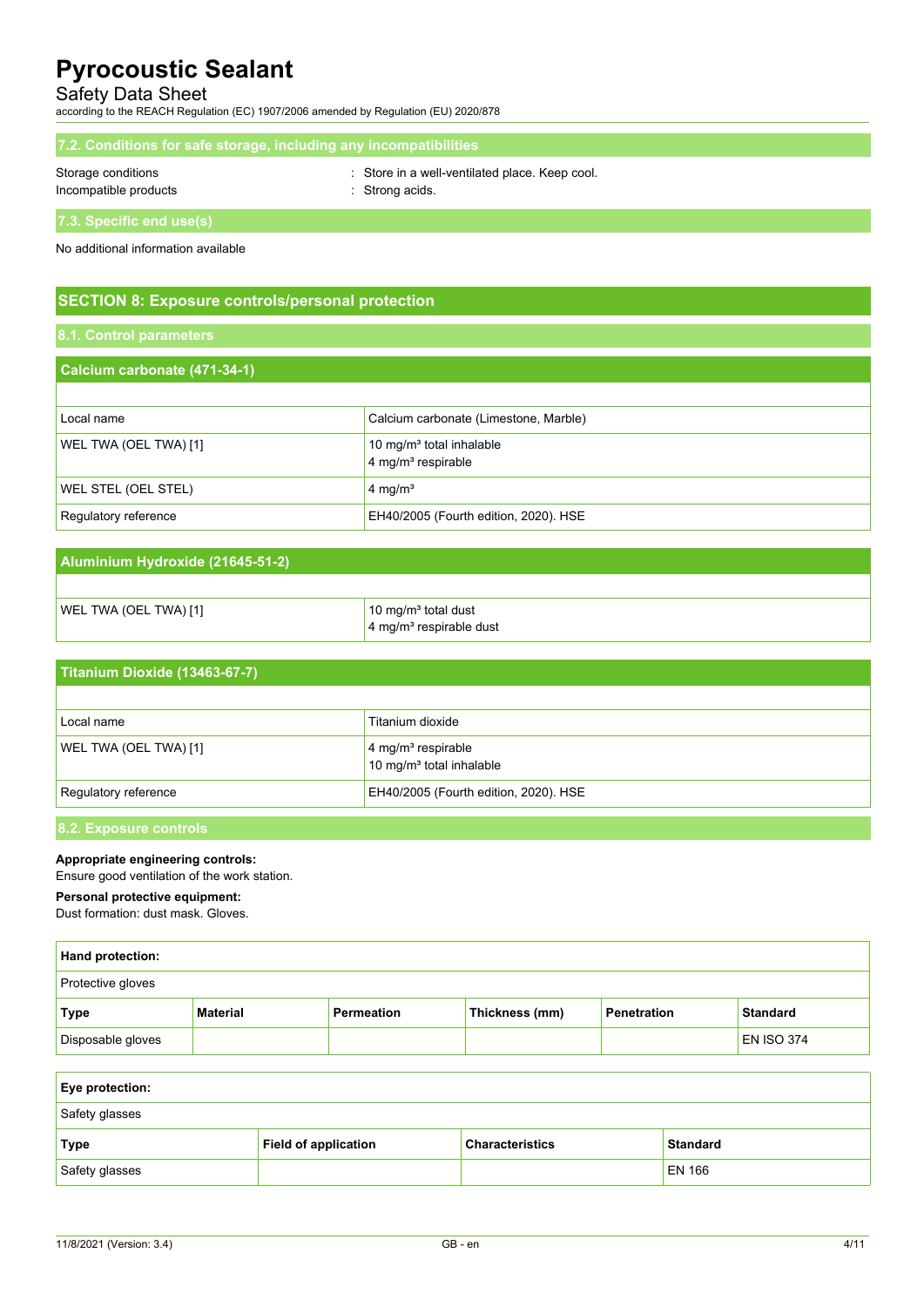### Safety Data Sheet

according to the REACH Regulation (EC) 1907/2006 amended by Regulation (EU) 2020/878

| 7.2. Conditions for safe storage, including any incompatibilities |  |
|-------------------------------------------------------------------|--|
|                                                                   |  |

Storage conditions : Store in a well-ventilated place. Keep cool.

Incompatible products in the strong acids.

**7.3. Specific end use(s)**

No additional information available

# **SECTION 8: Exposure controls/personal protection**

# **Calcium carbonate (471-34-1)** Local name Calcium carbonate (Limestone, Marble) WEL TWA (OEL TWA) [1] 10 mg/m<sup>3</sup> total inhalable 4 mg/m<sup>3</sup> respirable WEL STEL (OEL STEL) 4 mg/m<sup>3</sup> Regulatory reference **EH40/2005** (Fourth edition, 2020). HSE

# **Aluminium Hydroxide (21645-51-2)** WEL TWA (OEL TWA) [1] 10 mg/m<sup>3</sup> total dust

Regulatory reference **EH40/2005** (Fourth edition, 2020). HSE

|                               | 4 mg/m <sup>3</sup> respirable dust                                    |
|-------------------------------|------------------------------------------------------------------------|
|                               |                                                                        |
| Titanium Dioxide (13463-67-7) |                                                                        |
|                               |                                                                        |
| Local name                    | Titanium dioxide                                                       |
| WEL TWA (OEL TWA) [1]         | 4 mg/m <sup>3</sup> respirable<br>10 mg/m <sup>3</sup> total inhalable |

# **8.2. Exposure controls**

### **Appropriate engineering controls:**

Ensure good ventilation of the work station.

### **Personal protective equipment:**

Dust formation: dust mask. Gloves.

| <b>Hand protection:</b>  |          |                   |                |             |                   |
|--------------------------|----------|-------------------|----------------|-------------|-------------------|
| <b>Protective gloves</b> |          |                   |                |             |                   |
| Type                     | Material | <b>Permeation</b> | Thickness (mm) | Penetration | <b>Standard</b>   |
| Disposable gloves        |          |                   |                |             | <b>EN ISO 374</b> |

| <b>Eye protection:</b> |                      |                        |                 |
|------------------------|----------------------|------------------------|-----------------|
| Safety glasses         |                      |                        |                 |
| <b>Type</b>            | Field of application | <b>Characteristics</b> | <b>Standard</b> |
| Safety glasses         |                      |                        | <b>EN 166</b>   |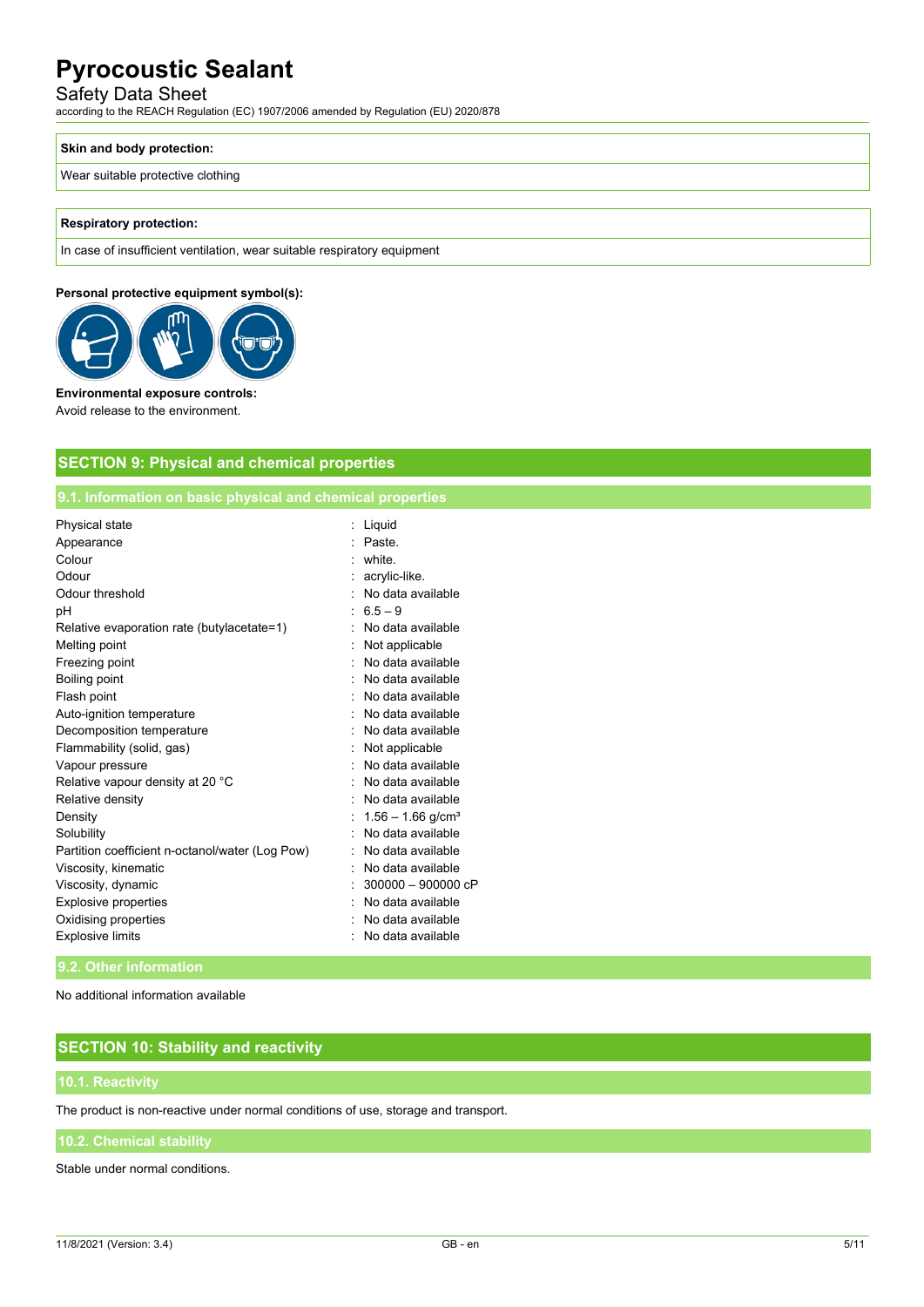## Safety Data Sheet

according to the REACH Regulation (EC) 1907/2006 amended by Regulation (EU) 2020/878

#### **Skin and body protection:**

Wear suitable protective clothing

#### **Respiratory protection:**

In case of insufficient ventilation, wear suitable respiratory equipment

#### **Personal protective equipment symbol(s):**



#### **Environmental exposure controls:**

Avoid release to the environment.

# **SECTION 9: Physical and chemical properties**

### **9.1. Information on basic physical and chemical properties**

| Physical state                                  | Liquid                          |  |
|-------------------------------------------------|---------------------------------|--|
| Appearance                                      | Paste                           |  |
| Colour                                          | white.                          |  |
| Odour                                           | acrylic-like.                   |  |
| Odour threshold                                 | No data available               |  |
| рH                                              | $6.5 - 9$                       |  |
| Relative evaporation rate (butylacetate=1)      | No data available               |  |
| Melting point                                   | Not applicable                  |  |
| Freezing point                                  | No data available               |  |
| Boiling point                                   | No data available               |  |
| Flash point                                     | No data available               |  |
| Auto-ignition temperature                       | No data available               |  |
| Decomposition temperature                       | No data available               |  |
| Flammability (solid, gas)                       | Not applicable                  |  |
| Vapour pressure                                 | No data available               |  |
| Relative vapour density at 20 °C                | No data available               |  |
| Relative density                                | No data available               |  |
| Density                                         | $1.56 - 1.66$ g/cm <sup>3</sup> |  |
| Solubility                                      | No data available               |  |
| Partition coefficient n-octanol/water (Log Pow) | No data available               |  |
| Viscosity, kinematic                            | No data available               |  |
| Viscosity, dynamic                              | $300000 - 900000cP$             |  |
| Explosive properties                            | No data available               |  |
| Oxidising properties                            | No data available               |  |
| <b>Explosive limits</b>                         | No data available               |  |
|                                                 |                                 |  |

#### **9.2. Other information**

No additional information available

# **SECTION 10: Stability and reactivity**

The product is non-reactive under normal conditions of use, storage and transport.

Stable under normal conditions.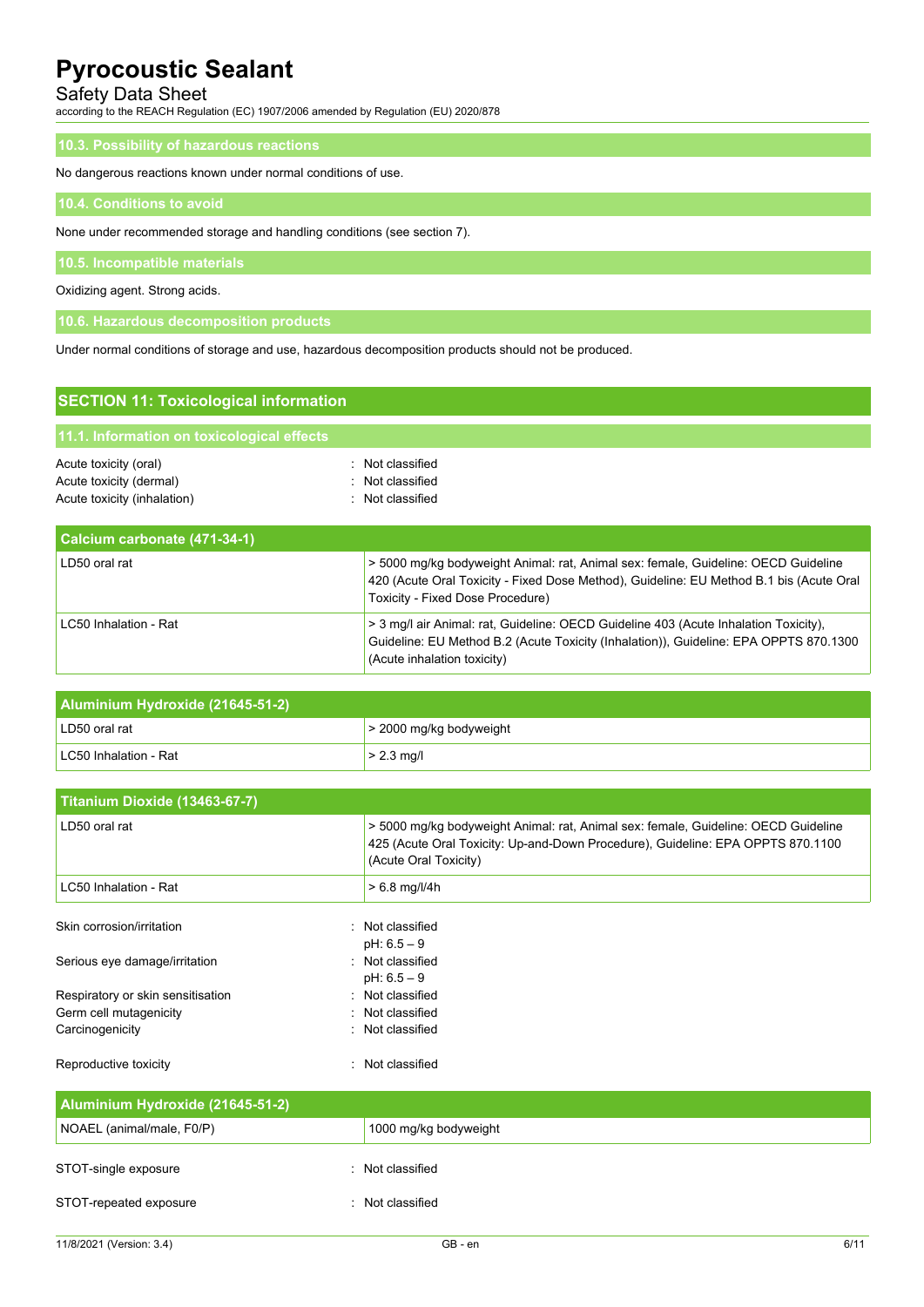# Safety Data Sheet

according to the REACH Regulation (EC) 1907/2006 amended by Regulation (EU) 2020/878

### **10.3. Possibility of hazardous reactions**

No dangerous reactions known under normal conditions of use.

#### **10.4. Conditions to avoid**

None under recommended storage and handling conditions (see section 7).

Oxidizing agent. Strong acids.

**10.6. Hazardous decomposition products**

Under normal conditions of storage and use, hazardous decomposition products should not be produced.

| <b>SECTION 11: Toxicological information</b>                                    |                                                                                                                                                                                                                          |  |
|---------------------------------------------------------------------------------|--------------------------------------------------------------------------------------------------------------------------------------------------------------------------------------------------------------------------|--|
| 11.1. Information on toxicological effects                                      |                                                                                                                                                                                                                          |  |
| Acute toxicity (oral)<br>Acute toxicity (dermal)<br>Acute toxicity (inhalation) | : Not classified<br>: Not classified<br>Not classified                                                                                                                                                                   |  |
| Calcium carbonate (471-34-1)                                                    |                                                                                                                                                                                                                          |  |
| LD50 oral rat                                                                   | > 5000 mg/kg bodyweight Animal: rat, Animal sex: female, Guideline: OECD Guideline<br>420 (Acute Oral Toxicity - Fixed Dose Method), Guideline: EU Method B.1 bis (Acute Oral<br><b>Toxicity - Fixed Dose Procedure)</b> |  |
| LC50 Inhalation - Rat                                                           | > 3 mg/l air Animal: rat, Guideline: OECD Guideline 403 (Acute Inhalation Toxicity),<br>Guideline: EU Method B.2 (Acute Toxicity (Inhalation)), Guideline: EPA OPPTS 870.1300<br>(Acute inhalation toxicity)             |  |

| Aluminium Hydroxide (21645-51-2) |                           |  |
|----------------------------------|---------------------------|--|
| LD50 oral rat                    | $>$ 2000 mg/kg bodyweight |  |
| LC50 Inhalation - Rat            | $> 2.3$ mg/l              |  |

| Titanium Dioxide (13463-67-7)     |                                                                                                                                                                                                |
|-----------------------------------|------------------------------------------------------------------------------------------------------------------------------------------------------------------------------------------------|
| LD50 oral rat                     | > 5000 mg/kg bodyweight Animal: rat, Animal sex: female, Guideline: OECD Guideline<br>425 (Acute Oral Toxicity: Up-and-Down Procedure), Guideline: EPA OPPTS 870.1100<br>(Acute Oral Toxicity) |
| LC50 Inhalation - Rat             | $> 6.8$ mg/l/4h                                                                                                                                                                                |
| Skin corrosion/irritation         | : Not classified                                                                                                                                                                               |
|                                   | $pH: 6.5 - 9$                                                                                                                                                                                  |
| Serious eye damage/irritation     | : Not classified                                                                                                                                                                               |
|                                   | $pH: 6.5 - 9$                                                                                                                                                                                  |
| Respiratory or skin sensitisation | : Not classified                                                                                                                                                                               |
| Germ cell mutagenicity            | : Not classified                                                                                                                                                                               |
| Carcinogenicity                   | : Not classified                                                                                                                                                                               |
| Reproductive toxicity             | Not classified                                                                                                                                                                                 |
| Aluminium Hydroxide (21645-51-2)  |                                                                                                                                                                                                |

| Aluminium Hydroxide (21645-51-2) |                       |  |
|----------------------------------|-----------------------|--|
| NOAEL (animal/male, F0/P)        | 1000 mg/kg bodyweight |  |
| STOT-single exposure             | : Not classified      |  |
| STOT-repeated exposure           | Not classified        |  |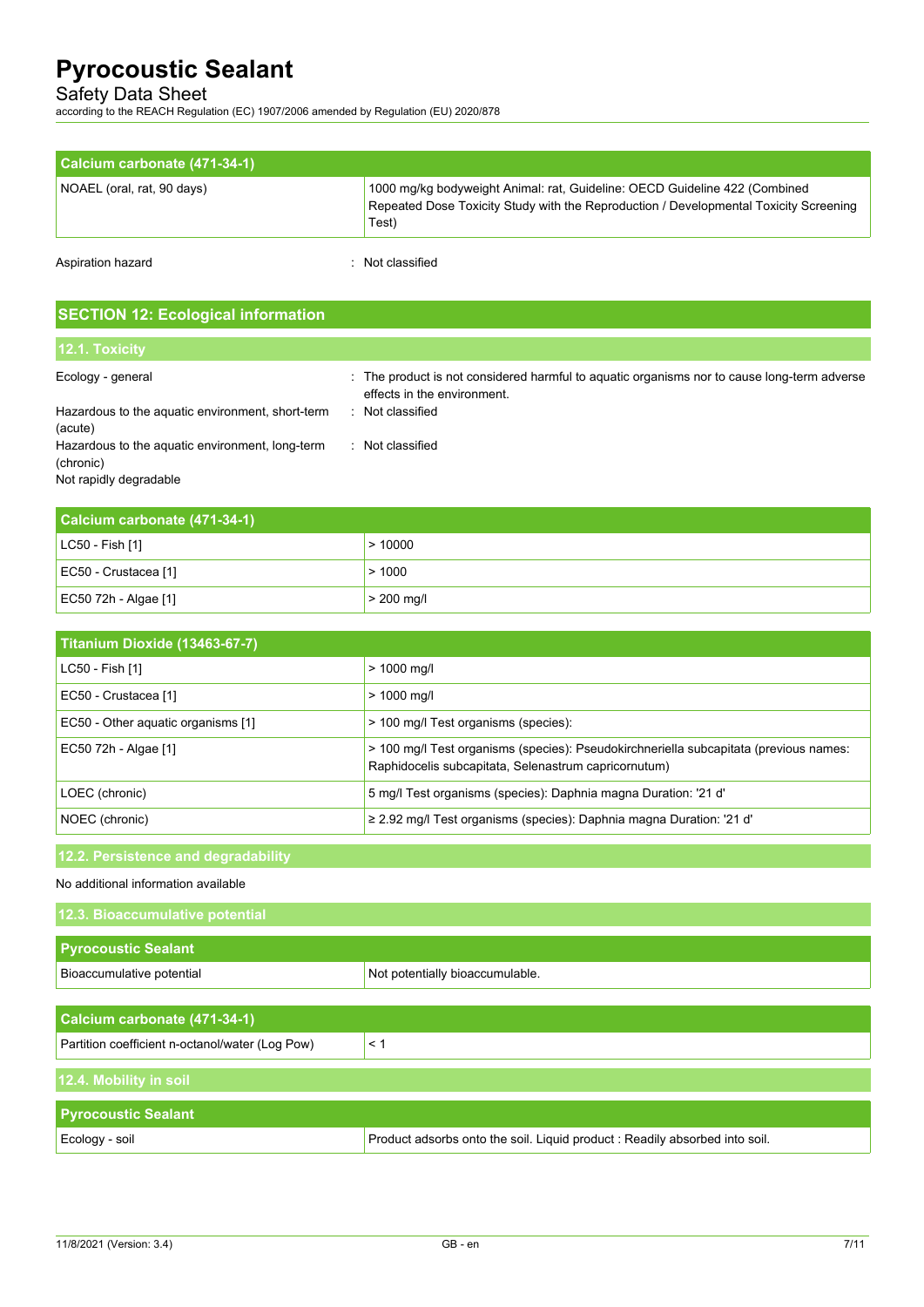# Safety Data Sheet

according to the REACH Regulation (EC) 1907/2006 amended by Regulation (EU) 2020/878

| Calcium carbonate (471-34-1) |                                                                                                                                                                              |
|------------------------------|------------------------------------------------------------------------------------------------------------------------------------------------------------------------------|
| NOAEL (oral, rat, 90 days)   | 1000 mg/kg bodyweight Animal: rat, Guideline: OECD Guideline 422 (Combined<br>Repeated Dose Toxicity Study with the Reproduction / Developmental Toxicity Screening<br>Test) |

Aspiration hazard **in the set of the set of the set of the set of the set of the set of the set of the set of the set of the set of the set of the set of the set of the set of the set of the set of the set of the set of th** 

# **SECTION 12: Ecological information**

| 12.1. Toxicity                                               |                                                                                                                            |
|--------------------------------------------------------------|----------------------------------------------------------------------------------------------------------------------------|
| Ecology - general                                            | : The product is not considered harmful to aquatic organisms nor to cause long-term adverse<br>effects in the environment. |
| Hazardous to the aquatic environment, short-term<br>(acute)  | Not classified<br>ж.                                                                                                       |
| Hazardous to the aquatic environment, long-term<br>(chronic) | Not classified                                                                                                             |
| Not rapidly degradable                                       |                                                                                                                            |

| Calcium carbonate (471-34-1) |              |
|------------------------------|--------------|
| $ $ LC50 - Fish [1]          | >10000       |
| EC50 - Crustacea [1]         | >1000        |
| EC50 72h - Algae [1]         | $> 200$ mg/l |

| Titanium Dioxide (13463-67-7)      |                                                                                                                                               |
|------------------------------------|-----------------------------------------------------------------------------------------------------------------------------------------------|
| LC50 - Fish [1]                    | $> 1000$ mg/l                                                                                                                                 |
| EC50 - Crustacea [1]               | $> 1000$ mg/l                                                                                                                                 |
| EC50 - Other aquatic organisms [1] | > 100 mg/l Test organisms (species):                                                                                                          |
| EC50 72h - Algae [1]               | > 100 mg/l Test organisms (species): Pseudokirchneriella subcapitata (previous names:<br>Raphidocelis subcapitata, Selenastrum capricornutum) |
| LOEC (chronic)                     | 5 mg/l Test organisms (species): Daphnia magna Duration: '21 d'                                                                               |
| NOEC (chronic)                     | $\ge$ 2.92 mg/l Test organisms (species): Daphnia magna Duration: '21 d'                                                                      |

# **12.2. Persistence and degradability**

#### No additional information available

| 12.3. Bioaccumulative potential                 |                                                                             |  |
|-------------------------------------------------|-----------------------------------------------------------------------------|--|
| <b>Pyrocoustic Sealant</b>                      |                                                                             |  |
| Bioaccumulative potential                       | Not potentially bioaccumulable.                                             |  |
|                                                 |                                                                             |  |
| Calcium carbonate (471-34-1)                    |                                                                             |  |
| Partition coefficient n-octanol/water (Log Pow) | < 1                                                                         |  |
| 12.4. Mobility in soil                          |                                                                             |  |
| <b>Pyrocoustic Sealant</b>                      |                                                                             |  |
| Ecology - soil                                  | Product adsorbs onto the soil. Liquid product : Readily absorbed into soil. |  |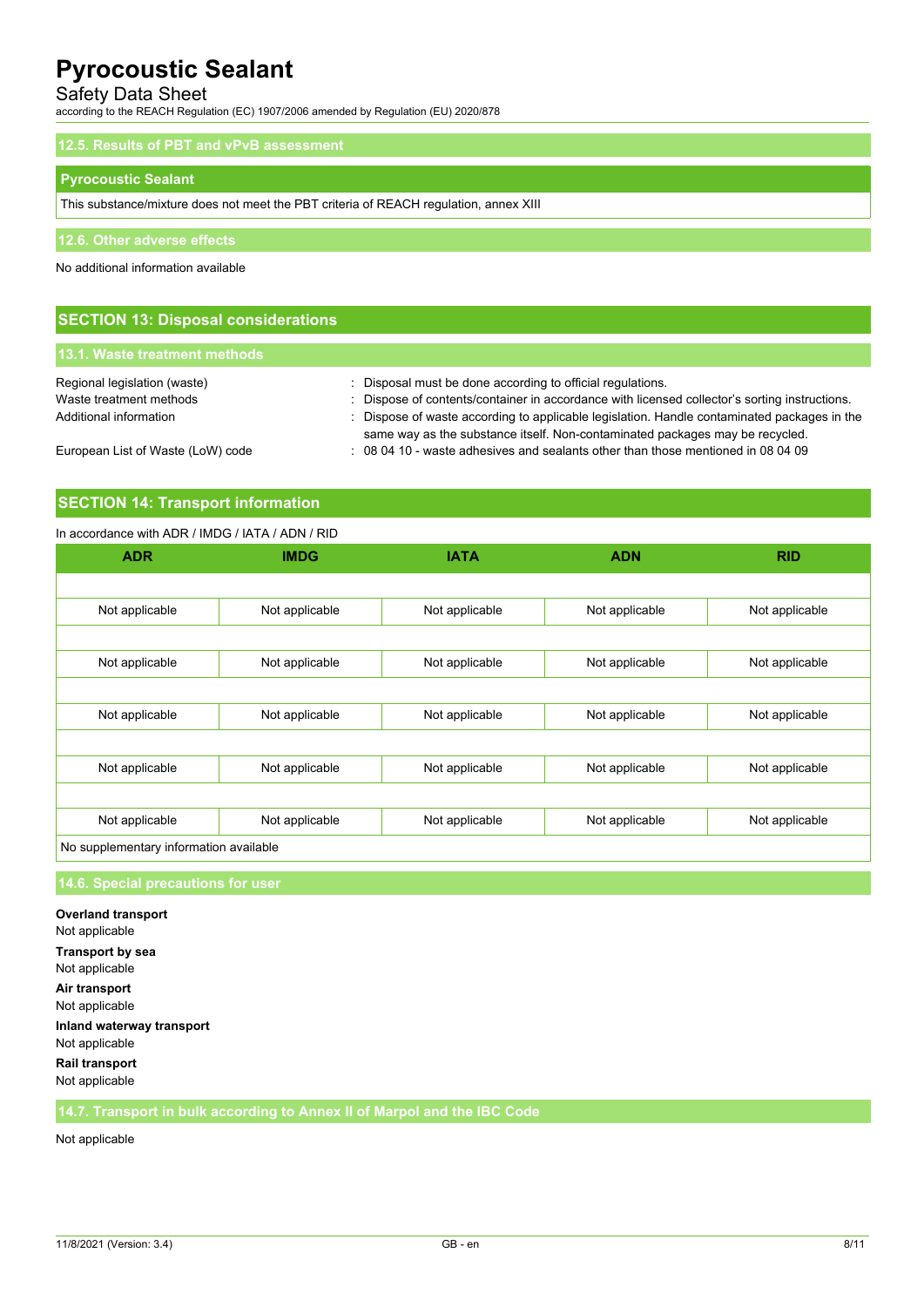# Safety Data Sheet

according to the REACH Regulation (EC) 1907/2006 amended by Regulation (EU) 2020/878

| 12.5. Results of PBT and vPvB assessment                                              |  |
|---------------------------------------------------------------------------------------|--|
| <b>Pyrocoustic Sealant</b>                                                            |  |
| This substance/mixture does not meet the PBT criteria of REACH regulation, annex XIII |  |
| 12.6. Other adverse effects                                                           |  |
| No additional information available                                                   |  |
|                                                                                       |  |

| l 13.1. Waste treatment methods,  |                                                                                               |
|-----------------------------------|-----------------------------------------------------------------------------------------------|
|                                   |                                                                                               |
| Regional legislation (waste)      | : Disposal must be done according to official regulations.                                    |
| Waste treatment methods           | : Dispose of contents/container in accordance with licensed collector's sorting instructions. |
| Additional information            | : Dispose of waste according to applicable legislation. Handle contaminated packages in the   |
|                                   | same way as the substance itself. Non-contaminated packages may be recycled.                  |
| European List of Waste (LoW) code | $\therefore$ 08 04 10 - waste adhesives and sealants other than those mentioned in 08 04 09   |

### **SECTION 14: Transport information**

#### In accordance with ADR / IMDG / IATA / ADN / RID

**SECTION 13: Disposal considerations**

| <b>ADR</b>                             | <b>IMDG</b>    | <b>IATA</b>    | <b>ADN</b>     | <b>RID</b>     |
|----------------------------------------|----------------|----------------|----------------|----------------|
|                                        |                |                |                |                |
| Not applicable                         | Not applicable | Not applicable | Not applicable | Not applicable |
|                                        |                |                |                |                |
| Not applicable                         | Not applicable | Not applicable | Not applicable | Not applicable |
|                                        |                |                |                |                |
| Not applicable                         | Not applicable | Not applicable | Not applicable | Not applicable |
|                                        |                |                |                |                |
| Not applicable                         | Not applicable | Not applicable | Not applicable | Not applicable |
|                                        |                |                |                |                |
| Not applicable                         | Not applicable | Not applicable | Not applicable | Not applicable |
| No supplementary information available |                |                |                |                |

## **14.6. Special precautions for user**

**Overland transport** Not applicable **Transport by sea** Not applicable **Air transport** Not applicable **Inland waterway transport** Not applicable **Rail transport** Not applicable

**14.7. Transport in bulk according to Annex II of Marpol and the IBC Code**

Not applicable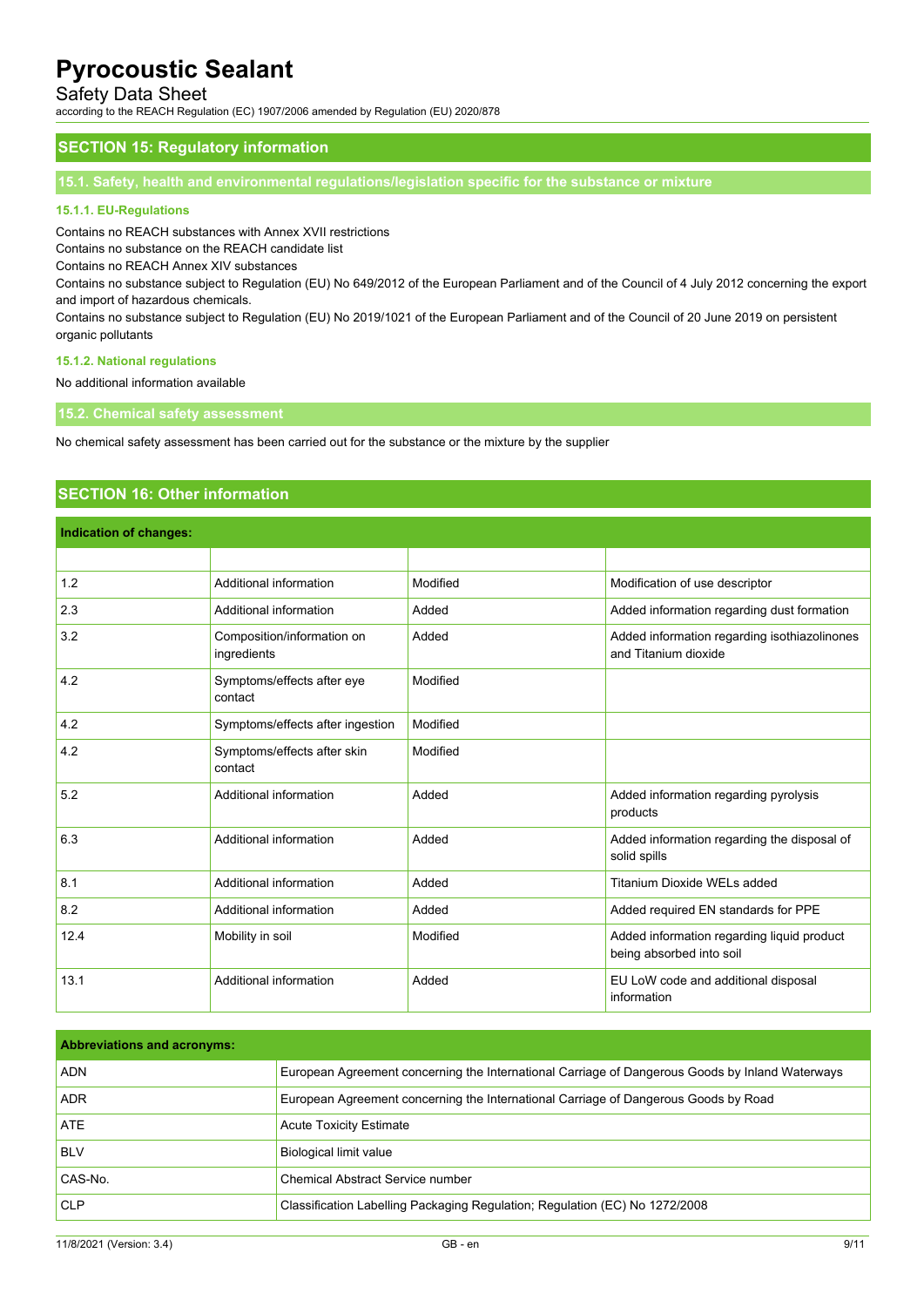## Safety Data Sheet

according to the REACH Regulation (EC) 1907/2006 amended by Regulation (EU) 2020/878

### **SECTION 15: Regulatory information**

**15.1. Safety, health and environmental regulations/legislation specific for the substance or mixture**

#### **15.1.1. EU-Regulations**

Contains no REACH substances with Annex XVII restrictions

Contains no substance on the REACH candidate list

Contains no REACH Annex XIV substances

Contains no substance subject to Regulation (EU) No 649/2012 of the European Parliament and of the Council of 4 July 2012 concerning the export and import of hazardous chemicals.

Contains no substance subject to Regulation (EU) No 2019/1021 of the European Parliament and of the Council of 20 June 2019 on persistent organic pollutants

#### **15.1.2. National regulations**

No additional information available

**15.2. Chemical safety assessment**

No chemical safety assessment has been carried out for the substance or the mixture by the supplier

# **SECTION 16: Other information**

| Indication of changes: |                                           |          |                                                                        |
|------------------------|-------------------------------------------|----------|------------------------------------------------------------------------|
|                        |                                           |          |                                                                        |
| 1.2                    | Additional information                    | Modified | Modification of use descriptor                                         |
| 2.3                    | Additional information                    | Added    | Added information regarding dust formation                             |
| 3.2                    | Composition/information on<br>ingredients | Added    | Added information regarding isothiazolinones<br>and Titanium dioxide   |
| 4.2                    | Symptoms/effects after eye<br>contact     | Modified |                                                                        |
| 4.2                    | Symptoms/effects after ingestion          | Modified |                                                                        |
| 4.2                    | Symptoms/effects after skin<br>contact    | Modified |                                                                        |
| 5.2                    | Additional information                    | Added    | Added information regarding pyrolysis<br>products                      |
| 6.3                    | Additional information                    | Added    | Added information regarding the disposal of<br>solid spills            |
| 8.1                    | Additional information                    | Added    | Titanium Dioxide WELs added                                            |
| 8.2                    | Additional information                    | Added    | Added required EN standards for PPE                                    |
| 12.4                   | Mobility in soil                          | Modified | Added information regarding liquid product<br>being absorbed into soil |
| 13.1                   | Additional information                    | Added    | EU LoW code and additional disposal<br>information                     |

| <b>Abbreviations and acronyms:</b> |                                                                                                 |
|------------------------------------|-------------------------------------------------------------------------------------------------|
| <b>ADN</b>                         | European Agreement concerning the International Carriage of Dangerous Goods by Inland Waterways |
| <b>ADR</b>                         | European Agreement concerning the International Carriage of Dangerous Goods by Road             |
| <b>ATE</b>                         | <b>Acute Toxicity Estimate</b>                                                                  |
| <b>BLV</b>                         | Biological limit value                                                                          |
| CAS-No.                            | Chemical Abstract Service number                                                                |
| <b>CLP</b>                         | Classification Labelling Packaging Regulation; Regulation (EC) No 1272/2008                     |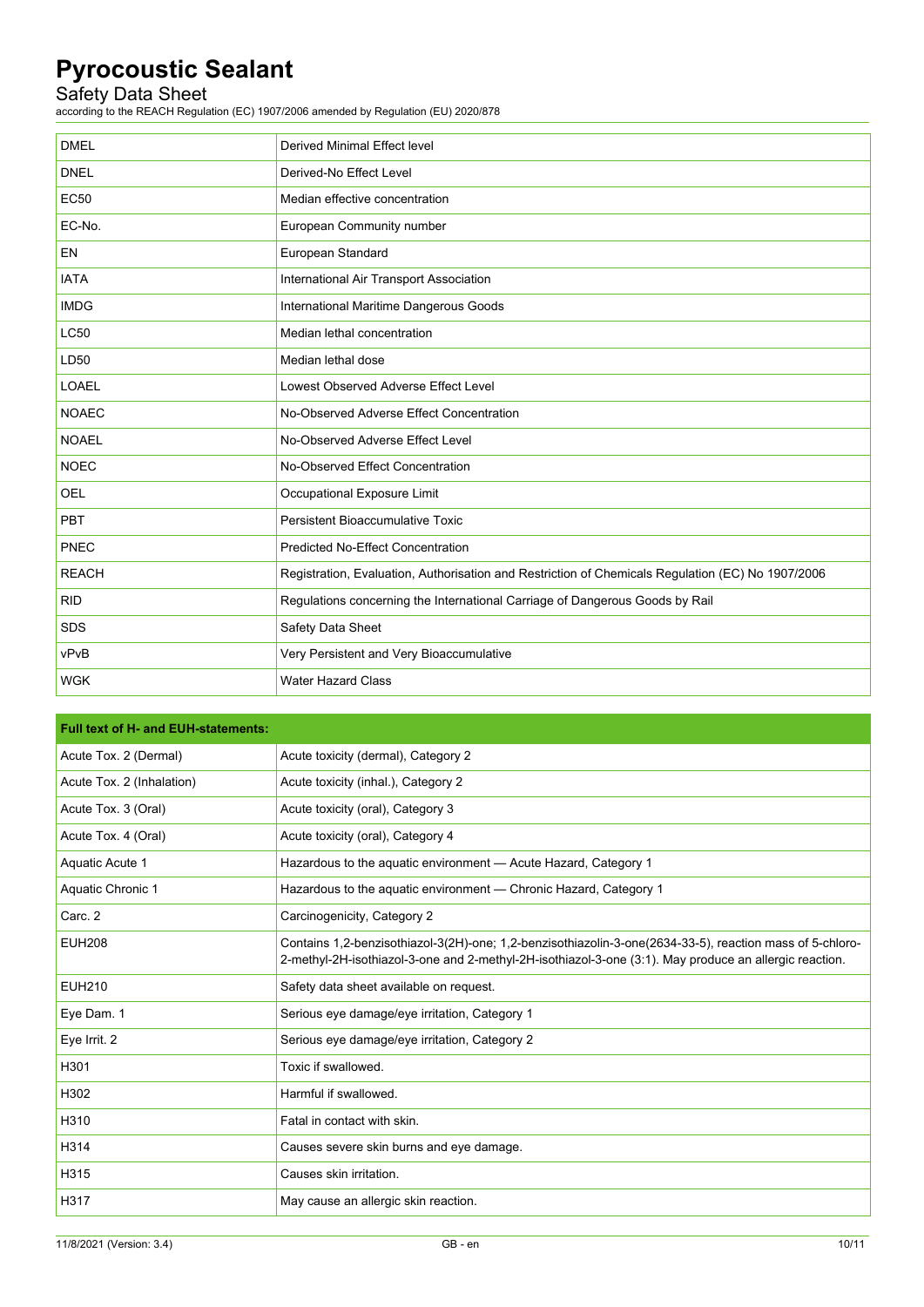# Safety Data Sheet

according to the REACH Regulation (EC) 1907/2006 amended by Regulation (EU) 2020/878

| <b>DMEL</b>  | Derived Minimal Effect level                                                                      |
|--------------|---------------------------------------------------------------------------------------------------|
| <b>DNEL</b>  | Derived-No Effect Level                                                                           |
| <b>EC50</b>  | Median effective concentration                                                                    |
| EC-No.       | European Community number                                                                         |
| <b>EN</b>    | European Standard                                                                                 |
| <b>IATA</b>  | International Air Transport Association                                                           |
| <b>IMDG</b>  | International Maritime Dangerous Goods                                                            |
| <b>LC50</b>  | Median lethal concentration                                                                       |
| LD50         | Median lethal dose                                                                                |
| <b>LOAEL</b> | Lowest Observed Adverse Effect Level                                                              |
| <b>NOAEC</b> | No-Observed Adverse Effect Concentration                                                          |
| <b>NOAEL</b> | No-Observed Adverse Effect Level                                                                  |
| <b>NOEC</b>  | No-Observed Effect Concentration                                                                  |
| <b>OEL</b>   | Occupational Exposure Limit                                                                       |
| <b>PBT</b>   | Persistent Bioaccumulative Toxic                                                                  |
| PNEC         | <b>Predicted No-Effect Concentration</b>                                                          |
| <b>REACH</b> | Registration, Evaluation, Authorisation and Restriction of Chemicals Regulation (EC) No 1907/2006 |
| <b>RID</b>   | Regulations concerning the International Carriage of Dangerous Goods by Rail                      |
| <b>SDS</b>   | Safety Data Sheet                                                                                 |
| vPvB         | Very Persistent and Very Bioaccumulative                                                          |
| <b>WGK</b>   | <b>Water Hazard Class</b>                                                                         |

| <b>Full text of H- and EUH-statements:</b> |                                                                                                                                                                                                                    |
|--------------------------------------------|--------------------------------------------------------------------------------------------------------------------------------------------------------------------------------------------------------------------|
| Acute Tox. 2 (Dermal)                      | Acute toxicity (dermal), Category 2                                                                                                                                                                                |
| Acute Tox. 2 (Inhalation)                  | Acute toxicity (inhal.), Category 2                                                                                                                                                                                |
| Acute Tox. 3 (Oral)                        | Acute toxicity (oral), Category 3                                                                                                                                                                                  |
| Acute Tox. 4 (Oral)                        | Acute toxicity (oral), Category 4                                                                                                                                                                                  |
| Aquatic Acute 1                            | Hazardous to the aquatic environment - Acute Hazard, Category 1                                                                                                                                                    |
| Aquatic Chronic 1                          | Hazardous to the aquatic environment — Chronic Hazard, Category 1                                                                                                                                                  |
| Carc. 2                                    | Carcinogenicity, Category 2                                                                                                                                                                                        |
| <b>EUH208</b>                              | Contains 1,2-benzisothiazol-3(2H)-one; 1,2-benzisothiazolin-3-one(2634-33-5), reaction mass of 5-chloro-<br>2-methyl-2H-isothiazol-3-one and 2-methyl-2H-isothiazol-3-one (3:1). May produce an allergic reaction. |
| <b>EUH210</b>                              | Safety data sheet available on request.                                                                                                                                                                            |
| Eye Dam. 1                                 | Serious eye damage/eye irritation, Category 1                                                                                                                                                                      |
| Eye Irrit. 2                               | Serious eye damage/eye irritation, Category 2                                                                                                                                                                      |
| H301                                       | Toxic if swallowed.                                                                                                                                                                                                |
| H302                                       | Harmful if swallowed.                                                                                                                                                                                              |
| H310                                       | Fatal in contact with skin.                                                                                                                                                                                        |
| H314                                       | Causes severe skin burns and eye damage.                                                                                                                                                                           |
| H315                                       | Causes skin irritation.                                                                                                                                                                                            |
| H317                                       | May cause an allergic skin reaction.                                                                                                                                                                               |